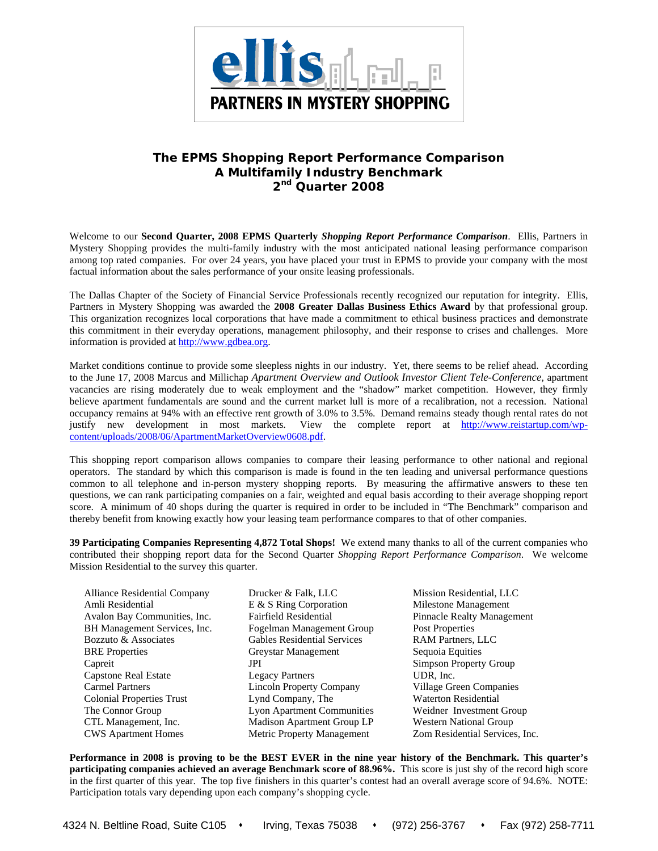

# **The EPMS** *Shopping Report Performance Comparison*  **A Multifamily Industry Benchmark 2nd Quarter 2008**

Welcome to our **Second Quarter, 2008 EPMS Quarterly** *Shopping Report Performance Comparison*. Ellis, Partners in Mystery Shopping provides the multi-family industry with the most anticipated national leasing performance comparison among top rated companies. For over 24 years, you have placed your trust in EPMS to provide your company with the most factual information about the sales performance of your onsite leasing professionals.

The Dallas Chapter of the Society of Financial Service Professionals recently recognized our reputation for integrity. Ellis, Partners in Mystery Shopping was awarded the **2008 Greater Dallas Business Ethics Award** by that professional group. This organization recognizes local corporations that have made a commitment to ethical business practices and demonstrate this commitment in their everyday operations, management philosophy, and their response to crises and challenges. More information is provided at http://www.gdbea.org.

Market conditions continue to provide some sleepless nights in our industry. Yet, there seems to be relief ahead. According to the June 17, 2008 Marcus and Millichap *Apartment Overview and Outlook Investor Client Tele-Conference,* apartment vacancies are rising moderately due to weak employment and the "shadow" market competition. However, they firmly believe apartment fundamentals are sound and the current market lull is more of a recalibration, not a recession. National occupancy remains at 94% with an effective rent growth of 3.0% to 3.5%. Demand remains steady though rental rates do not justify new development in most markets. View the complete report at http://www.reistartup.com/wpcontent/uploads/2008/06/ApartmentMarketOverview0608.pdf.

This shopping report comparison allows companies to compare their leasing performance to other national and regional operators. The standard by which this comparison is made is found in the ten leading and universal performance questions common to all telephone and in-person mystery shopping reports. By measuring the affirmative answers to these ten questions, we can rank participating companies on a fair, weighted and equal basis according to their average shopping report score. A minimum of 40 shops during the quarter is required in order to be included in "The Benchmark" comparison and thereby benefit from knowing exactly how your leasing team performance compares to that of other companies.

**39 Participating Companies Representing 4,872 Total Shops!** We extend many thanks to all of the current companies who contributed their shopping report data for the Second Quarter *Shopping Report Performance Comparison*. We welcome Mission Residential to the survey this quarter.

- Alliance Residential Company Drucker & Falk, LLC Mission Residential, LLC Amli Residential E & S Ring Corporation Milestone Management Avalon Bay Communities, Inc. Fairfield Residential Pinnacle Realty Management BH Management Services, Inc. Fogelman Management Group Post Properties Bozzuto & Associates Gables Residential Services RAM Partners, LLC BRE Properties **Greystar Management** Sequoia Equities Capreit **Simpson Property Group** Capstone Real Estate Legacy Partners UDR, Inc. Carmel Partners Lincoln Property Company Village Green Companies Colonial Properties Trust Lynd Company, The Waterton Residential The Connor Group Lyon Apartment Communities Weidner Investment Group CTL Management, Inc. Madison Apartment Group LP Western National Group CWS Apartment Homes Metric Property Management Zom Residential Services, Inc.
- 
- 

**Performance in 2008 is proving to be the BEST EVER in the nine year history of the Benchmark. This quarter's participating companies achieved an average Benchmark score of 88.96%.** This score is just shy of the record high score in the first quarter of this year. The top five finishers in this quarter's contest had an overall average score of 94.6%. NOTE: Participation totals vary depending upon each company's shopping cycle.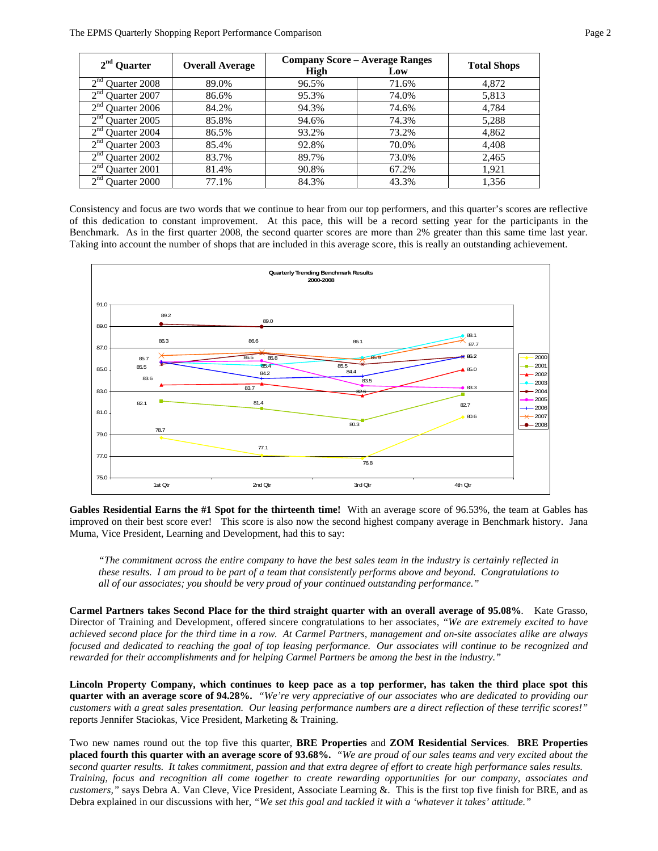| $2nd$ Quarter                          | <b>Overall Average</b> | <b>Company Score – Average Ranges</b> | <b>Total Shops</b> |       |
|----------------------------------------|------------------------|---------------------------------------|--------------------|-------|
|                                        |                        | High                                  | Low                |       |
| 2 <sup>nd</sup><br><b>Ouarter 2008</b> | 89.0%                  | 96.5%                                 | 71.6%              | 4,872 |
| $\gamma$ nd<br><b>Ouarter 2007</b>     | 86.6%                  | 95.3%                                 | 74.0%              | 5,813 |
| $\gamma$ nd<br>Quarter 2006            | 84.2%                  | 94.3%                                 | 74.6%              | 4,784 |
| $\gamma$ nd<br>Quarter 2005            | 85.8%                  | 94.6%                                 | 74.3%              | 5,288 |
| $\gamma$ nd<br>Quarter 2004            | 86.5%                  | 93.2%                                 | 73.2%              | 4,862 |
| $\gamma$ nd<br>Ouarter 2003            | 85.4%                  | 92.8%                                 | 70.0%              | 4,408 |
| $\gamma$ nd<br>Ouarter 2002            | 83.7%                  | 89.7%                                 | 73.0%              | 2,465 |
| $\gamma$ nd<br>Ouarter 2001            | 81.4%                  | 90.8%                                 | 67.2%              | 1,921 |
| $\gamma$ nd<br>Ouarter 2000            | 77.1%                  | 84.3%                                 | 43.3%              | 1,356 |

Consistency and focus are two words that we continue to hear from our top performers, and this quarter's scores are reflective of this dedication to constant improvement.At this pace, this will be a record setting year for the participants in the Benchmark. As in the first quarter 2008, the second quarter scores are more than 2% greater than this same time last year. Taking into account the number of shops that are included in this average score, this is really an outstanding achievement.



**Gables Residential Earns the #1 Spot for the thirteenth time!** With an average score of 96.53%, the team at Gables has improved on their best score ever!This score is also now the second highest company average in Benchmark history. Jana Muma, Vice President, Learning and Development, had this to say:

*"The commitment across the entire company to have the best sales team in the industry is certainly reflected in these results. I am proud to be part of a team that consistently performs above and beyond. Congratulations to all of our associates; you should be very proud of your continued outstanding performance."* 

**Carmel Partners takes Second Place for the third straight quarter with an overall average of 95.08%***.* Kate Grasso, Director of Training and Development, offered sincere congratulations to her associates, *"We are extremely excited to have achieved second place for the third time in a row. At Carmel Partners, management and on-site associates alike are always focused and dedicated to reaching the goal of top leasing performance. Our associates will continue to be recognized and rewarded for their accomplishments and for helping Carmel Partners be among the best in the industry."* 

**Lincoln Property Company, which continues to keep pace as a top performer, has taken the third place spot this quarter with an average score of 94.28%.** *"We're very appreciative of our associates who are dedicated to providing our customers with a great sales presentation. Our leasing performance numbers are a direct reflection of these terrific scores!"* reports Jennifer Staciokas, Vice President, Marketing & Training.

Two new names round out the top five this quarter, **BRE Properties** and **ZOM Residential Services**. **BRE Properties placed fourth this quarter with an average score of 93.68%.** *"We are proud of our sales teams and very excited about the second quarter results. It takes commitment, passion and that extra degree of effort to create high performance sales results. Training, focus and recognition all come together to create rewarding opportunities for our company, associates and customers,"* says Debra A. Van Cleve, Vice President, Associate Learning &. This is the first top five finish for BRE, and as Debra explained in our discussions with her, *"We set this goal and tackled it with a 'whatever it takes' attitude."*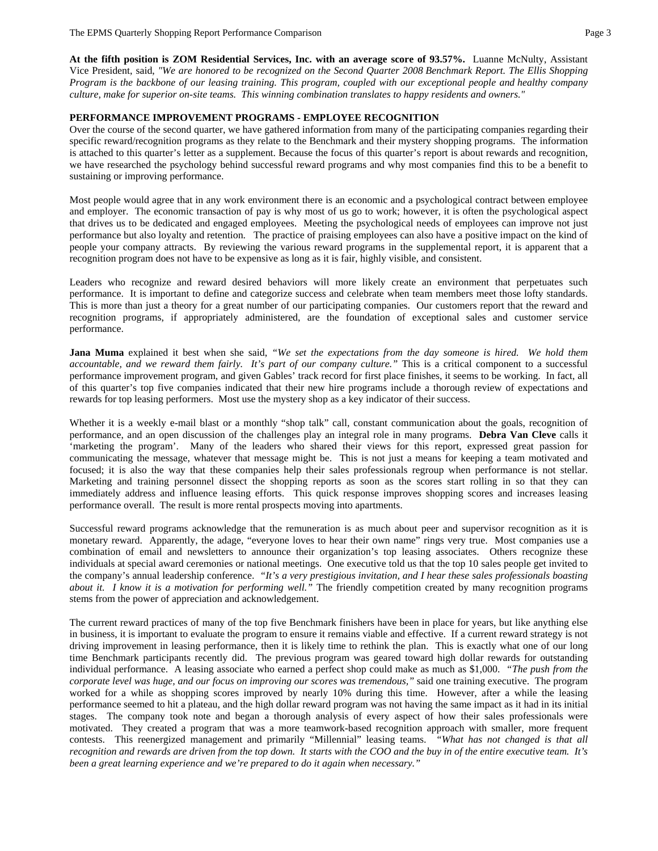**At the fifth position is ZOM Residential Services, Inc. with an average score of 93.57%.** Luanne McNulty, Assistant Vice President, said, *"We are honored to be recognized on the Second Quarter 2008 Benchmark Report. The Ellis Shopping Program is the backbone of our leasing training. This program, coupled with our exceptional people and healthy company culture, make for superior on-site teams. This winning combination translates to happy residents and owners."*

# **PERFORMANCE IMPROVEMENT PROGRAMS - EMPLOYEE RECOGNITION**

Over the course of the second quarter, we have gathered information from many of the participating companies regarding their specific reward/recognition programs as they relate to the Benchmark and their mystery shopping programs. The information is attached to this quarter's letter as a supplement. Because the focus of this quarter's report is about rewards and recognition, we have researched the psychology behind successful reward programs and why most companies find this to be a benefit to sustaining or improving performance.

Most people would agree that in any work environment there is an economic and a psychological contract between employee and employer. The economic transaction of pay is why most of us go to work; however, it is often the psychological aspect that drives us to be dedicated and engaged employees. Meeting the psychological needs of employees can improve not just performance but also loyalty and retention. The practice of praising employees can also have a positive impact on the kind of people your company attracts. By reviewing the various reward programs in the supplemental report, it is apparent that a recognition program does not have to be expensive as long as it is fair, highly visible, and consistent.

Leaders who recognize and reward desired behaviors will more likely create an environment that perpetuates such performance. It is important to define and categorize success and celebrate when team members meet those lofty standards. This is more than just a theory for a great number of our participating companies. Our customers report that the reward and recognition programs, if appropriately administered, are the foundation of exceptional sales and customer service performance.

**Jana Muma** explained it best when she said, *"We set the expectations from the day someone is hired. We hold them accountable, and we reward them fairly. It's part of our company culture."* This is a critical component to a successful performance improvement program, and given Gables' track record for first place finishes, it seems to be working. In fact, all of this quarter's top five companies indicated that their new hire programs include a thorough review of expectations and rewards for top leasing performers. Most use the mystery shop as a key indicator of their success.

Whether it is a weekly e-mail blast or a monthly "shop talk" call, constant communication about the goals, recognition of performance, and an open discussion of the challenges play an integral role in many programs. **Debra Van Cleve** calls it 'marketing the program'. Many of the leaders who shared their views for this report, expressed great passion for communicating the message, whatever that message might be. This is not just a means for keeping a team motivated and focused; it is also the way that these companies help their sales professionals regroup when performance is not stellar. Marketing and training personnel dissect the shopping reports as soon as the scores start rolling in so that they can immediately address and influence leasing efforts. This quick response improves shopping scores and increases leasing performance overall. The result is more rental prospects moving into apartments.

Successful reward programs acknowledge that the remuneration is as much about peer and supervisor recognition as it is monetary reward. Apparently, the adage, "everyone loves to hear their own name" rings very true. Most companies use a combination of email and newsletters to announce their organization's top leasing associates. Others recognize these individuals at special award ceremonies or national meetings. One executive told us that the top 10 sales people get invited to the company's annual leadership conference. *"It's a very prestigious invitation, and I hear these sales professionals boasting about it. I know it is a motivation for performing well."* The friendly competition created by many recognition programs stems from the power of appreciation and acknowledgement.

The current reward practices of many of the top five Benchmark finishers have been in place for years, but like anything else in business, it is important to evaluate the program to ensure it remains viable and effective. If a current reward strategy is not driving improvement in leasing performance, then it is likely time to rethink the plan. This is exactly what one of our long time Benchmark participants recently did. The previous program was geared toward high dollar rewards for outstanding individual performance. A leasing associate who earned a perfect shop could make as much as \$1,000. *"The push from the corporate level was huge, and our focus on improving our scores was tremendous,"* said one training executive. The program worked for a while as shopping scores improved by nearly 10% during this time. However, after a while the leasing performance seemed to hit a plateau, and the high dollar reward program was not having the same impact as it had in its initial stages. The company took note and began a thorough analysis of every aspect of how their sales professionals were motivated. They created a program that was a more teamwork-based recognition approach with smaller, more frequent contests. This reenergized management and primarily "Millennial" leasing teams. *"What has not changed is that all recognition and rewards are driven from the top down. It starts with the COO and the buy in of the entire executive team. It's been a great learning experience and we're prepared to do it again when necessary."*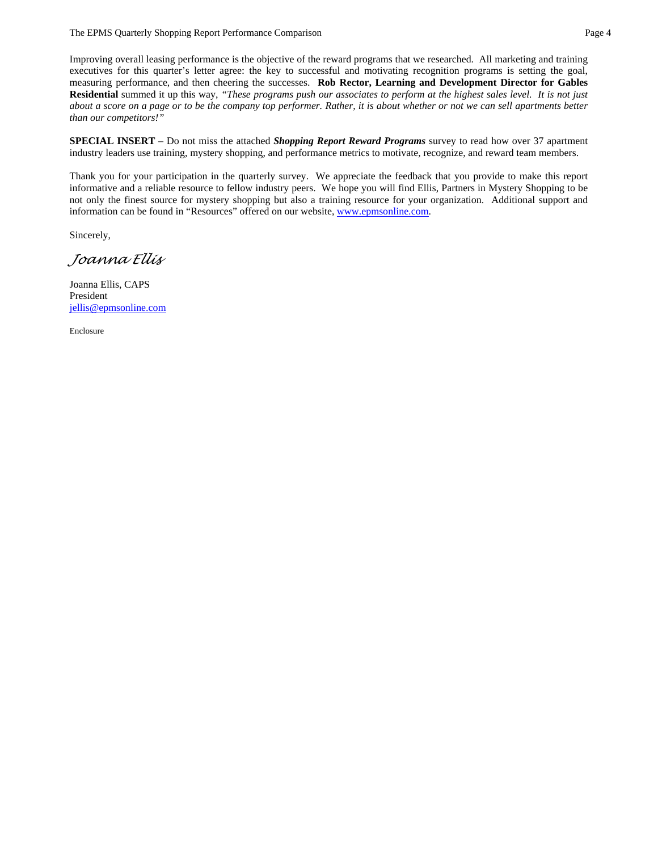## The EPMS Quarterly Shopping Report Performance Comparison **Page 4** and Page 4

Improving overall leasing performance is the objective of the reward programs that we researched. All marketing and training executives for this quarter's letter agree: the key to successful and motivating recognition programs is setting the goal, measuring performance, and then cheering the successes. **Rob Rector, Learning and Development Director for Gables Residential** summed it up this way, *"These programs push our associates to perform at the highest sales level. It is not just about a score on a page or to be the company top performer. Rather, it is about whether or not we can sell apartments better than our competitors!"* 

**SPECIAL INSERT** – Do not miss the attached *Shopping Report Reward Programs* survey to read how over 37 apartment industry leaders use training, mystery shopping, and performance metrics to motivate, recognize, and reward team members.

Thank you for your participation in the quarterly survey. We appreciate the feedback that you provide to make this report informative and a reliable resource to fellow industry peers. We hope you will find Ellis, Partners in Mystery Shopping to be not only the finest source for mystery shopping but also a training resource for your organization. Additional support and information can be found in "Resources" offered on our website, www.epmsonline.com.

Sincerely,

*Joanna Ellis* 

Joanna Ellis, CAPS President jellis@epmsonline.com

Enclosure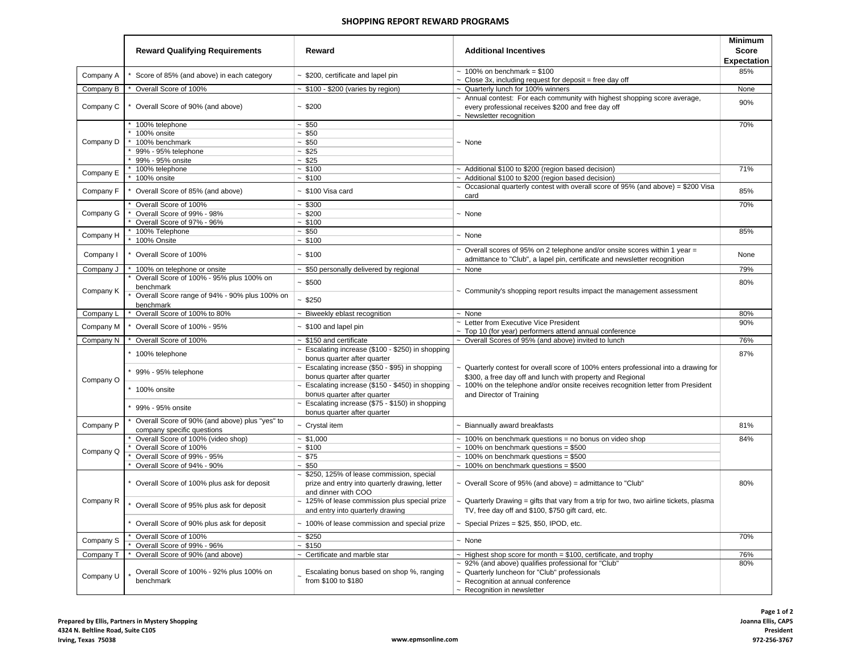### **SHOPPING REPORT REWARD PROGRAMS**

|                        | <b>Reward Qualifying Requirements</b>                                                                                   | Reward                                                                                                              | <b>Additional Incentives</b>                                                                                                                                                                                                                           | <b>Minimum</b><br><b>Score</b><br><b>Expectation</b> |
|------------------------|-------------------------------------------------------------------------------------------------------------------------|---------------------------------------------------------------------------------------------------------------------|--------------------------------------------------------------------------------------------------------------------------------------------------------------------------------------------------------------------------------------------------------|------------------------------------------------------|
| Company A              | Score of 85% (and above) in each category                                                                               | ~ \$200, certificate and lapel pin                                                                                  | $\sim 100\%$ on benchmark = \$100<br>$\sim$ Close 3x, including request for deposit = free day off                                                                                                                                                     | 85%                                                  |
| Company B              | Overall Score of 100%                                                                                                   | $\sim$ \$100 - \$200 (varies by region)                                                                             | ~ Quarterly lunch for 100% winners                                                                                                                                                                                                                     | None                                                 |
| Company C              | Overall Score of 90% (and above)                                                                                        | $-$ \$200                                                                                                           | $\sim$ Annual contest: For each community with highest shopping score average,<br>every professional receives \$200 and free day off<br>~ Newsletter recognition                                                                                       | 90%                                                  |
| Company D              | 100% telephone<br>100% onsite<br>100% benchmark<br>99% - 95% telephone<br>99% - 95% onsite                              | $-$ \$50<br>$-$ \$50<br>~150<br>$-$ \$25<br>$-$ \$25                                                                | $~\sim~$ None                                                                                                                                                                                                                                          | 70%                                                  |
| Company E              | 100% telephone<br>100% onsite                                                                                           | ~100<br>$-$ \$100                                                                                                   | ~ Additional \$100 to \$200 (region based decision)<br>~ Additional \$100 to \$200 (region based decision)                                                                                                                                             | 71%                                                  |
| Company F              | Overall Score of 85% (and above)                                                                                        | $~$ \$100 Visa card                                                                                                 | $\sim$ Occasional quarterly contest with overall score of 95% (and above) = \$200 Visa<br>card                                                                                                                                                         | 85%                                                  |
| Company G              | Overall Score of 100%<br>Overall Score of 99% - 98%<br>Overall Score of 97% - 96%                                       | $-$ \$300<br>$-$ \$200<br>~5100                                                                                     | $~\sim~$ None                                                                                                                                                                                                                                          | 70%                                                  |
| Company H              | 100% Telephone<br>100% Onsite                                                                                           | $-$ \$50<br>$-$ \$100                                                                                               | $~\sim~$ None                                                                                                                                                                                                                                          | 85%                                                  |
| Company I              | Overall Score of 100%                                                                                                   | ~100                                                                                                                | ~ Overall scores of 95% on 2 telephone and/or onsite scores within 1 year =<br>admittance to "Club", a lapel pin, certificate and newsletter recognition                                                                                               | None                                                 |
| Company J              | 100% on telephone or onsite                                                                                             | ~ \$50 personally delivered by regional                                                                             | $~\sim~$ None                                                                                                                                                                                                                                          | 79%                                                  |
| Company K              | Overall Score of 100% - 95% plus 100% on<br>benchmark<br>Overall Score range of 94% - 90% plus 100% on<br>benchmark     | ~1500<br>~1.5250                                                                                                    | $\sim$ Community's shopping report results impact the management assessment                                                                                                                                                                            | 80%                                                  |
| Company L              | Overall Score of 100% to 80%                                                                                            | $\sim$ Biweekly eblast recognition                                                                                  | $~\sim~$ None                                                                                                                                                                                                                                          | 80%                                                  |
| Company M              | Overall Score of 100% - 95%                                                                                             | ~ \$100 and lapel pin                                                                                               | ~ Letter from Executive Vice President<br>~ Top 10 (for year) performers attend annual conference                                                                                                                                                      | 90%                                                  |
| Company N              | Overall Score of 100%                                                                                                   | $~\sim~$ \$150 and certificate                                                                                      | ~ Overall Scores of 95% (and above) invited to lunch                                                                                                                                                                                                   | 76%                                                  |
|                        | * 100% telephone                                                                                                        | $\sim$ Escalating increase (\$100 - \$250) in shopping<br>bonus quarter after quarter                               |                                                                                                                                                                                                                                                        | 87%                                                  |
| Company O              | 99% - 95% telephone                                                                                                     | $\sim$ Escalating increase (\$50 - \$95) in shopping<br>bonus quarter after quarter                                 | ~ Quarterly contest for overall score of 100% enters professional into a drawing for<br>\$300, a free day off and lunch with property and Regional                                                                                                     |                                                      |
|                        | * 100% onsite                                                                                                           | ~ Escalating increase (\$150 - \$450) in shopping<br>bonus quarter after quarter                                    | 100% on the telephone and/or onsite receives recognition letter from President<br>and Director of Training                                                                                                                                             |                                                      |
|                        | 99% - 95% onsite                                                                                                        | $\sim$ Escalating increase (\$75 - \$150) in shopping<br>bonus quarter after quarter                                |                                                                                                                                                                                                                                                        |                                                      |
| Company P              | Overall Score of 90% (and above) plus "yes" to<br>company specific questions                                            | ~ Crystal item                                                                                                      | ~ Biannually award breakfasts                                                                                                                                                                                                                          | 81%                                                  |
| Company Q              | Overall Score of 100% (video shop)<br>Overall Score of 100%<br>Overall Score of 99% - 95%<br>Overall Score of 94% - 90% | $-$ \$1,000<br>$-$ \$100<br>~575<br>~150                                                                            | $\sim 100\%$ on benchmark questions = no bonus on video shop<br>$~\sim~100\%$ on benchmark questions = \$500<br>$\sim 100\%$ on benchmark questions = \$500<br>$\sim 100\%$ on benchmark questions = \$500                                             | 84%                                                  |
|                        | Overall Score of 100% plus ask for deposit                                                                              | ~ \$250, 125% of lease commission, special<br>prize and entry into quarterly drawing, letter<br>and dinner with COO | ~ Overall Score of 95% (and above) = admittance to "Club"                                                                                                                                                                                              | 80%                                                  |
| Company R              | Overall Score of 95% plus ask for deposit                                                                               | ~ 125% of lease commission plus special prize<br>and entry into quarterly drawing                                   | $\sim$ Quarterly Drawing = gifts that vary from a trip for two, two airline tickets, plasma<br>TV, free day off and \$100, \$750 gift card, etc.                                                                                                       |                                                      |
|                        | * Overall Score of 90% plus ask for deposit                                                                             | ~ 100% of lease commission and special prize                                                                        | $\sim$ Special Prizes = \$25, \$50, IPOD, etc.                                                                                                                                                                                                         |                                                      |
| Company S              | Overall Score of 100%                                                                                                   | ~1.5250                                                                                                             | $~\sim~$ None                                                                                                                                                                                                                                          | 70%                                                  |
|                        | Overall Score of 99% - 96%                                                                                              | $-$ \$150                                                                                                           |                                                                                                                                                                                                                                                        |                                                      |
| Company T<br>Company U | Overall Score of 90% (and above)<br>Overall Score of 100% - 92% plus 100% on<br>benchmark                               | $\sim$ Certificate and marble star<br>Escalating bonus based on shop %, ranging<br>from \$100 to \$180              | $\sim$ Highest shop score for month = \$100, certificate, and trophy<br>~ 92% (and above) qualifies professional for "Club'<br>~ Quarterly luncheon for "Club" professionals<br>~ Recognition at annual conference<br>$\sim$ Recognition in newsletter | 76%<br>80%                                           |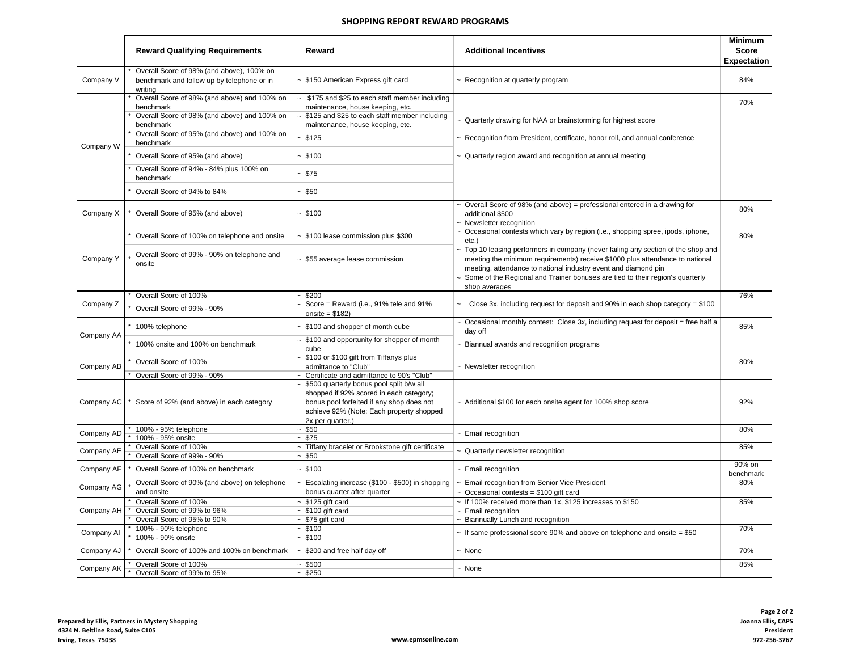#### **SHOPPING REPORT REWARD PROGRAMS**

|            | <b>Reward Qualifying Requirements</b>                                                                                  | Reward                                                                                                                                                                                                  | <b>Additional Incentives</b>                                                                                                                                                                                                                                                                                                                      | <b>Minimum</b><br><b>Score</b><br><b>Expectation</b> |
|------------|------------------------------------------------------------------------------------------------------------------------|---------------------------------------------------------------------------------------------------------------------------------------------------------------------------------------------------------|---------------------------------------------------------------------------------------------------------------------------------------------------------------------------------------------------------------------------------------------------------------------------------------------------------------------------------------------------|------------------------------------------------------|
| Company V  | Overall Score of 98% (and above), 100% on<br>benchmark and follow up by telephone or in<br>writing                     | $\sim$ \$150 American Express gift card                                                                                                                                                                 | $\sim$ Recognition at quarterly program                                                                                                                                                                                                                                                                                                           | 84%                                                  |
|            | Overall Score of 98% (and above) and 100% on<br>benchmark<br>Overall Score of 98% (and above) and 100% on<br>benchmark | \$175 and \$25 to each staff member including<br>$\sim$<br>maintenance, house keeping, etc.<br>$\sim$ \$125 and \$25 to each staff member including<br>maintenance, house keeping, etc.                 | $\sim$ Quarterly drawing for NAA or brainstorming for highest score                                                                                                                                                                                                                                                                               | 70%                                                  |
| Company W  | Overall Score of 95% (and above) and 100% on<br>benchmark                                                              | $-$ \$125                                                                                                                                                                                               | $\sim$ Recognition from President, certificate, honor roll, and annual conference                                                                                                                                                                                                                                                                 |                                                      |
|            | Overall Score of 95% (and above)                                                                                       | $-$ \$100                                                                                                                                                                                               | $\sim$ Quarterly region award and recognition at annual meeting                                                                                                                                                                                                                                                                                   |                                                      |
|            | Overall Score of 94% - 84% plus 100% on<br>benchmark                                                                   | ~1.575                                                                                                                                                                                                  |                                                                                                                                                                                                                                                                                                                                                   |                                                      |
|            | Overall Score of 94% to 84%                                                                                            | ~150                                                                                                                                                                                                    |                                                                                                                                                                                                                                                                                                                                                   |                                                      |
| Company X  | Overall Score of 95% (and above)                                                                                       | $-$ \$100                                                                                                                                                                                               | $\sim$ Overall Score of 98% (and above) = professional entered in a drawing for<br>additional \$500<br>~ Newsletter recognition                                                                                                                                                                                                                   | 80%                                                  |
|            | Overall Score of 100% on telephone and onsite                                                                          | $\sim$ \$100 lease commission plus \$300                                                                                                                                                                | $\sim$ Occasional contests which vary by region (i.e., shopping spree, ipods, iphone,<br>$etc.$ )                                                                                                                                                                                                                                                 | 80%                                                  |
| Company Y  | Overall Score of 99% - 90% on telephone and<br>onsite                                                                  | ~ \$55 average lease commission                                                                                                                                                                         | $\sim$ Top 10 leasing performers in company (never failing any section of the shop and<br>meeting the minimum requirements) receive \$1000 plus attendance to national<br>meeting, attendance to national industry event and diamond pin<br>$\sim$ Some of the Regional and Trainer bonuses are tied to their region's quarterly<br>shop averages |                                                      |
|            | Overall Score of 100%                                                                                                  | $-$ \$200                                                                                                                                                                                               |                                                                                                                                                                                                                                                                                                                                                   | 76%                                                  |
| Company Z  | Overall Score of 99% - 90%                                                                                             | $\sim$ Score = Reward (i.e., 91% tele and 91%<br>onsite = $$182$ )                                                                                                                                      | $\sim$ Close 3x, including request for deposit and 90% in each shop category = \$100                                                                                                                                                                                                                                                              |                                                      |
|            | * 100% telephone                                                                                                       | $~\sim~$ \$100 and shopper of month cube                                                                                                                                                                | $\sim$ Occasional monthly contest: Close 3x, including request for deposit = free half a<br>day off                                                                                                                                                                                                                                               | 85%                                                  |
| Company AA | * 100% onsite and 100% on benchmark                                                                                    | $\sim$ \$100 and opportunity for shopper of month<br>cube                                                                                                                                               | - Biannual awards and recognition programs                                                                                                                                                                                                                                                                                                        |                                                      |
| Company AB | Overall Score of 100%                                                                                                  | $\sim$ \$100 or \$100 gift from Tiffanys plus<br>admittance to "Club"                                                                                                                                   | $\sim$ Newsletter recognition                                                                                                                                                                                                                                                                                                                     | 80%                                                  |
|            | Overall Score of 99% - 90%                                                                                             | ~ Certificate and admittance to 90's "Club"                                                                                                                                                             |                                                                                                                                                                                                                                                                                                                                                   |                                                      |
| Company AC | Score of 92% (and above) in each category                                                                              | $\sim$ \$500 quarterly bonus pool split b/w all<br>shopped if 92% scored in each category;<br>bonus pool forfeited if any shop does not<br>achieve 92% (Note: Each property shopped<br>2x per quarter.) | ~ Additional \$100 for each onsite agent for 100% shop score                                                                                                                                                                                                                                                                                      | 92%                                                  |
|            | 100% - 95% telephone                                                                                                   | ~150                                                                                                                                                                                                    |                                                                                                                                                                                                                                                                                                                                                   | 80%                                                  |
| Company AD | 100% - 95% onsite                                                                                                      | ~1.575                                                                                                                                                                                                  | $\sim$ Email recognition                                                                                                                                                                                                                                                                                                                          |                                                      |
| Company AE | Overall Score of 100%<br>Overall Score of 99% - 90%                                                                    | ~ Tiffany bracelet or Brookstone gift certificate<br>~150                                                                                                                                               | ~ Quarterly newsletter recognition                                                                                                                                                                                                                                                                                                                | 85%                                                  |
| Company AF | Overall Score of 100% on benchmark                                                                                     | ~100                                                                                                                                                                                                    | $\sim$ Email recognition                                                                                                                                                                                                                                                                                                                          | 90% on<br>benchmark                                  |
| Company AG | Overall Score of 90% (and above) on telephone<br>and onsite                                                            | $\sim$ Escalating increase (\$100 - \$500) in shopping<br>bonus quarter after quarter                                                                                                                   | ~ Email recognition from Senior Vice President<br>$\sim$ Occasional contests = \$100 gift card                                                                                                                                                                                                                                                    | 80%                                                  |
| Company AH | Overall Score of 100%<br>Overall Score of 99% to 96%<br>Overall Score of 95% to 90%                                    | $~5125$ gift card<br>$~5100$ gift card<br>$~575$ gift card                                                                                                                                              | ~ If 100% received more than 1x, $$125$ increases to $$150$<br>$\sim$ Email recognition<br>~ Biannually Lunch and recognition                                                                                                                                                                                                                     | 85%                                                  |
| Company Al | 100% - 90% telephone<br>100% - 90% onsite                                                                              | $-$ \$100<br>~100                                                                                                                                                                                       | $\sim$ If same professional score 90% and above on telephone and onsite = \$50                                                                                                                                                                                                                                                                    | 70%                                                  |
| Company AJ | Overall Score of 100% and 100% on benchmark                                                                            | $\sim$ \$200 and free half day off                                                                                                                                                                      | $~\sim~$ None                                                                                                                                                                                                                                                                                                                                     | 70%                                                  |
| Company AK | Overall Score of 100%<br>$\star$<br>Overall Score of 99% to 95%                                                        | $-$ \$500<br>~1.5250                                                                                                                                                                                    | $~\sim~$ None                                                                                                                                                                                                                                                                                                                                     | 85%                                                  |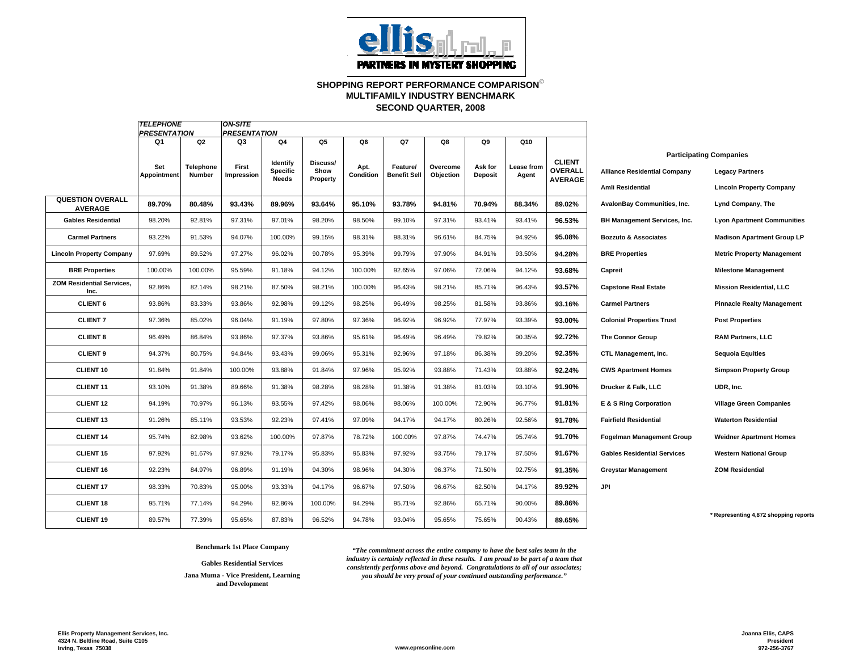

# **SHOPPING REPORT PERFORMANCE COMPARISON**© **SECOND QUARTER, 2008 MULTIFAMILY INDUSTRY BENCHMARK**

|                                           | <b>TELEPHONE</b><br><b>ON-SITE</b> |                            |                     |                             |                  |                   |                                 |                       |                           |                            |                          |                                     |                                                          |
|-------------------------------------------|------------------------------------|----------------------------|---------------------|-----------------------------|------------------|-------------------|---------------------------------|-----------------------|---------------------------|----------------------------|--------------------------|-------------------------------------|----------------------------------------------------------|
|                                           | <b>PRESENTATION</b>                |                            | <b>PRESENTATION</b> |                             |                  |                   |                                 |                       |                           |                            |                          |                                     |                                                          |
|                                           | Q1                                 | Q2                         | Q3                  | Q4                          | Q5               | Q6                | Q7                              | Q8                    | Q9                        | Q10                        |                          |                                     |                                                          |
|                                           | Set<br>Appointment                 | <b>Telephone</b><br>Number | First<br>Impression | Identify<br><b>Specific</b> | Discuss/<br>Show | Apt.<br>Condition | Feature/<br><b>Benefit Sell</b> | Overcome<br>Objection | Ask for<br><b>Deposit</b> | <b>Lease from</b><br>Agent | <b>CLIENT</b><br>OVERALL | <b>Alliance Residential Company</b> | <b>Participating Companies</b><br><b>Legacy Partners</b> |
|                                           |                                    |                            |                     | Needs                       | Property         |                   |                                 |                       |                           |                            | <b>AVERAGE</b>           | <b>Amli Residential</b>             | <b>Lincoln Property Company</b>                          |
| <b>QUESTION OVERALL</b><br><b>AVERAGE</b> | 89.70%                             | 80.48%                     | 93.43%              | 89.96%                      | 93.64%           | 95.10%            | 93.78%                          | 94.81%                | 70.94%                    | 88.34%                     | 89.02%                   | <b>AvalonBay Communities, Inc.</b>  | Lynd Company, The                                        |
| <b>Gables Residential</b>                 | 98.20%                             | 92.81%                     | 97.31%              | 97.01%                      | 98.20%           | 98.50%            | 99.10%                          | 97.31%                | 93.41%                    | 93.41%                     | 96.53%                   | <b>BH Management Services, Inc.</b> | <b>Lyon Apartment Communities</b>                        |
| <b>Carmel Partners</b>                    | 93.22%                             | 91.53%                     | 94.07%              | 100.00%                     | 99.15%           | 98.31%            | 98.31%                          | 96.61%                | 84.75%                    | 94.92%                     | 95.08%                   | <b>Bozzuto &amp; Associates</b>     | <b>Madison Apartment Group LP</b>                        |
| <b>Lincoln Property Company</b>           | 97.69%                             | 89.52%                     | 97.27%              | 96.02%                      | 90.78%           | 95.39%            | 99.79%                          | 97.90%                | 84.91%                    | 93.50%                     | 94.28%                   | <b>BRE Properties</b>               | <b>Metric Property Management</b>                        |
| <b>BRE Properties</b>                     | 100.00%                            | 100.00%                    | 95.59%              | 91.18%                      | 94.12%           | 100.00%           | 92.65%                          | 97.06%                | 72.06%                    | 94.12%                     | 93.68%                   | Capreit                             | <b>Milestone Management</b>                              |
| <b>ZOM Residential Services.</b><br>Inc.  | 92.86%                             | 82.14%                     | 98.21%              | 87.50%                      | 98.21%           | 100.00%           | 96.43%                          | 98.21%                | 85.71%                    | 96.43%                     | 93.57%                   | <b>Capstone Real Estate</b>         | <b>Mission Residential, LLC</b>                          |
| <b>CLIENT 6</b>                           | 93.86%                             | 83.33%                     | 93.86%              | 92.98%                      | 99.12%           | 98.25%            | 96.49%                          | 98.25%                | 81.58%                    | 93.86%                     | 93.16%                   | <b>Carmel Partners</b>              | <b>Pinnacle Realty Management</b>                        |
| <b>CLIENT 7</b>                           | 97.36%                             | 85.02%                     | 96.04%              | 91.19%                      | 97.80%           | 97.36%            | 96.92%                          | 96.92%                | 77.97%                    | 93.39%                     | 93.00%                   | <b>Colonial Properties Trust</b>    | <b>Post Properties</b>                                   |
| <b>CLIENT 8</b>                           | 96.49%                             | 86.84%                     | 93.86%              | 97.37%                      | 93.86%           | 95.61%            | 96.49%                          | 96.49%                | 79.82%                    | 90.35%                     | 92.72%                   | <b>The Connor Group</b>             | <b>RAM Partners, LLC</b>                                 |
| <b>CLIENT 9</b>                           | 94.37%                             | 80.75%                     | 94.84%              | 93.43%                      | 99.06%           | 95.31%            | 92.96%                          | 97.18%                | 86.38%                    | 89.20%                     | 92.35%                   | CTL Management, Inc.                | <b>Sequoia Equities</b>                                  |
| <b>CLIENT 10</b>                          | 91.84%                             | 91.84%                     | 100.00%             | 93.88%                      | 91.84%           | 97.96%            | 95.92%                          | 93.88%                | 71.43%                    | 93.88%                     | 92.24%                   | <b>CWS Apartment Homes</b>          | <b>Simpson Property Group</b>                            |
| <b>CLIENT 11</b>                          | 93.10%                             | 91.38%                     | 89.66%              | 91.38%                      | 98.28%           | 98.28%            | 91.38%                          | 91.38%                | 81.03%                    | 93.10%                     | 91.90%                   | Drucker & Falk, LLC                 | UDR, Inc.                                                |
| <b>CLIENT 12</b>                          | 94.19%                             | 70.97%                     | 96.13%              | 93.55%                      | 97.42%           | 98.06%            | 98.06%                          | 100.00%               | 72.90%                    | 96.77%                     | 91.81%                   | E & S Ring Corporation              | <b>Village Green Companies</b>                           |
| <b>CLIENT 13</b>                          | 91.26%                             | 85.11%                     | 93.53%              | 92.23%                      | 97.41%           | 97.09%            | 94.17%                          | 94.17%                | 80.26%                    | 92.56%                     | 91.78%                   | <b>Fairfield Residential</b>        | <b>Waterton Residential</b>                              |
| <b>CLIENT 14</b>                          | 95.74%                             | 82.98%                     | 93.62%              | 100.00%                     | 97.87%           | 78.72%            | 100.00%                         | 97.87%                | 74.47%                    | 95.74%                     | 91.70%                   | <b>Fogelman Management Group</b>    | <b>Weidner Apartment Homes</b>                           |
| <b>CLIENT 15</b>                          | 97.92%                             | 91.67%                     | 97.92%              | 79.17%                      | 95.83%           | 95.83%            | 97.92%                          | 93.75%                | 79.17%                    | 87.50%                     | 91.67%                   | <b>Gables Residential Services</b>  | <b>Western National Group</b>                            |
| <b>CLIENT 16</b>                          | 92.23%                             | 84.97%                     | 96.89%              | 91.19%                      | 94.30%           | 98.96%            | 94.30%                          | 96.37%                | 71.50%                    | 92.75%                     | 91.35%                   | <b>Greystar Management</b>          | <b>ZOM Residential</b>                                   |
| <b>CLIENT 17</b>                          | 98.33%                             | 70.83%                     | 95.00%              | 93.33%                      | 94.17%           | 96.67%            | 97.50%                          | 96.67%                | 62.50%                    | 94.17%                     | 89.92%                   | <b>JPI</b>                          |                                                          |
| <b>CLIENT 18</b>                          | 95.71%                             | 77.14%                     | 94.29%              | 92.86%                      | 100.00%          | 94.29%            | 95.71%                          | 92.86%                | 65.71%                    | 90.00%                     | 89.86%                   |                                     |                                                          |
| <b>CLIENT 19</b>                          | 89.57%                             | 77.39%                     | 95.65%              | 87.83%                      | 96.52%           | 94.78%            | 93.04%                          | 95.65%                | 75.65%                    | 90.43%                     | 89.65%                   |                                     | Representing 4,872 shopping reports                      |

**Gables Residential Services Jana Muma - Vice President, Learning and Development**

**Benchmark 1st Place Company** *"The commitment across the entire company to have the best sales team in the industry is certainly reflected in these results. I am proud to be part of a team that consistently performs above and beyond. Congratulations to all of our associates; you should be very proud of your continued outstanding performance."*